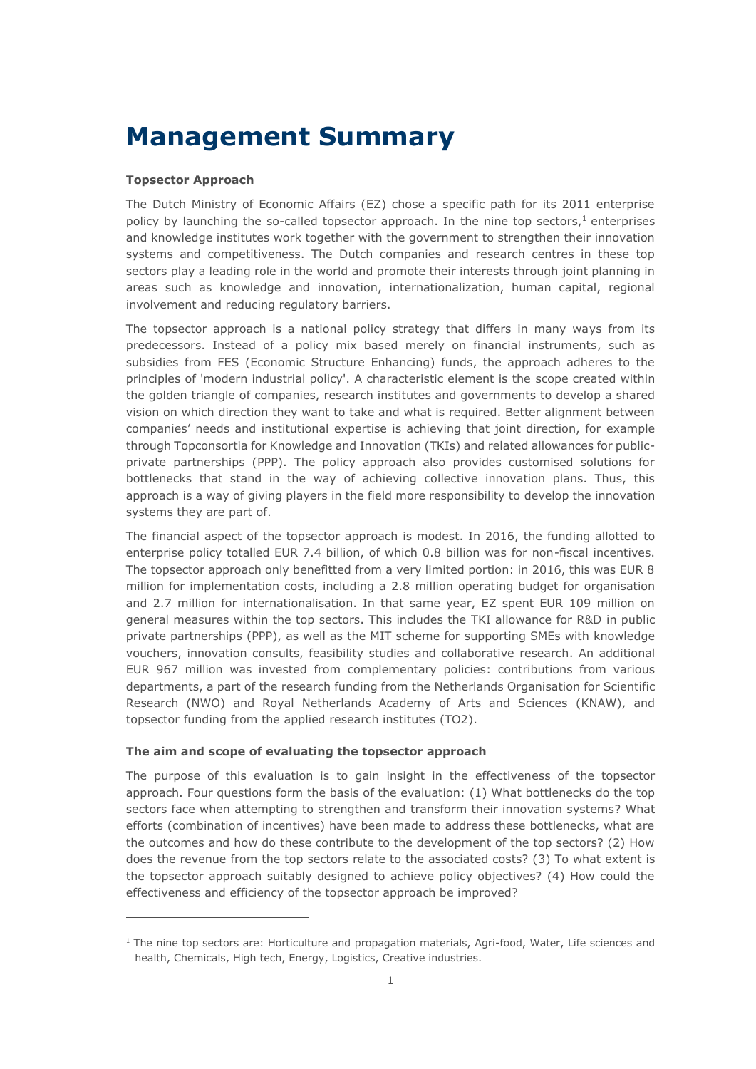# **Management Summary**

### **Topsector Approach**

 $\overline{a}$ 

The Dutch Ministry of Economic Affairs (EZ) chose a specific path for its 2011 enterprise policy by launching the so-called topsector approach. In the nine top sectors, $1$  enterprises and knowledge institutes work together with the government to strengthen their innovation systems and competitiveness. The Dutch companies and research centres in these top sectors play a leading role in the world and promote their interests through joint planning in areas such as knowledge and innovation, internationalization, human capital, regional involvement and reducing regulatory barriers.

The topsector approach is a national policy strategy that differs in many ways from its predecessors. Instead of a policy mix based merely on financial instruments, such as subsidies from FES (Economic Structure Enhancing) funds, the approach adheres to the principles of 'modern industrial policy'. A characteristic element is the scope created within the golden triangle of companies, research institutes and governments to develop a shared vision on which direction they want to take and what is required. Better alignment between companies' needs and institutional expertise is achieving that joint direction, for example through Topconsortia for Knowledge and Innovation (TKIs) and related allowances for publicprivate partnerships (PPP). The policy approach also provides customised solutions for bottlenecks that stand in the way of achieving collective innovation plans. Thus, this approach is a way of giving players in the field more responsibility to develop the innovation systems they are part of.

The financial aspect of the topsector approach is modest. In 2016, the funding allotted to enterprise policy totalled EUR 7.4 billion, of which 0.8 billion was for non-fiscal incentives. The topsector approach only benefitted from a very limited portion: in 2016, this was EUR 8 million for implementation costs, including a 2.8 million operating budget for organisation and 2.7 million for internationalisation. In that same year, EZ spent EUR 109 million on general measures within the top sectors. This includes the TKI allowance for R&D in public private partnerships (PPP), as well as the MIT scheme for supporting SMEs with knowledge vouchers, innovation consults, feasibility studies and collaborative research. An additional EUR 967 million was invested from complementary policies: contributions from various departments, a part of the research funding from the Netherlands Organisation for Scientific Research (NWO) and Royal Netherlands Academy of Arts and Sciences (KNAW), and topsector funding from the applied research institutes (TO2).

#### **The aim and scope of evaluating the topsector approach**

The purpose of this evaluation is to gain insight in the effectiveness of the topsector approach. Four questions form the basis of the evaluation: (1) What bottlenecks do the top sectors face when attempting to strengthen and transform their innovation systems? What efforts (combination of incentives) have been made to address these bottlenecks, what are the outcomes and how do these contribute to the development of the top sectors? (2) How does the revenue from the top sectors relate to the associated costs? (3) To what extent is the topsector approach suitably designed to achieve policy objectives? (4) How could the effectiveness and efficiency of the topsector approach be improved?

 $1$  The nine top sectors are: Horticulture and propagation materials, Agri-food, Water, Life sciences and health, Chemicals, High tech, Energy, Logistics, Creative industries.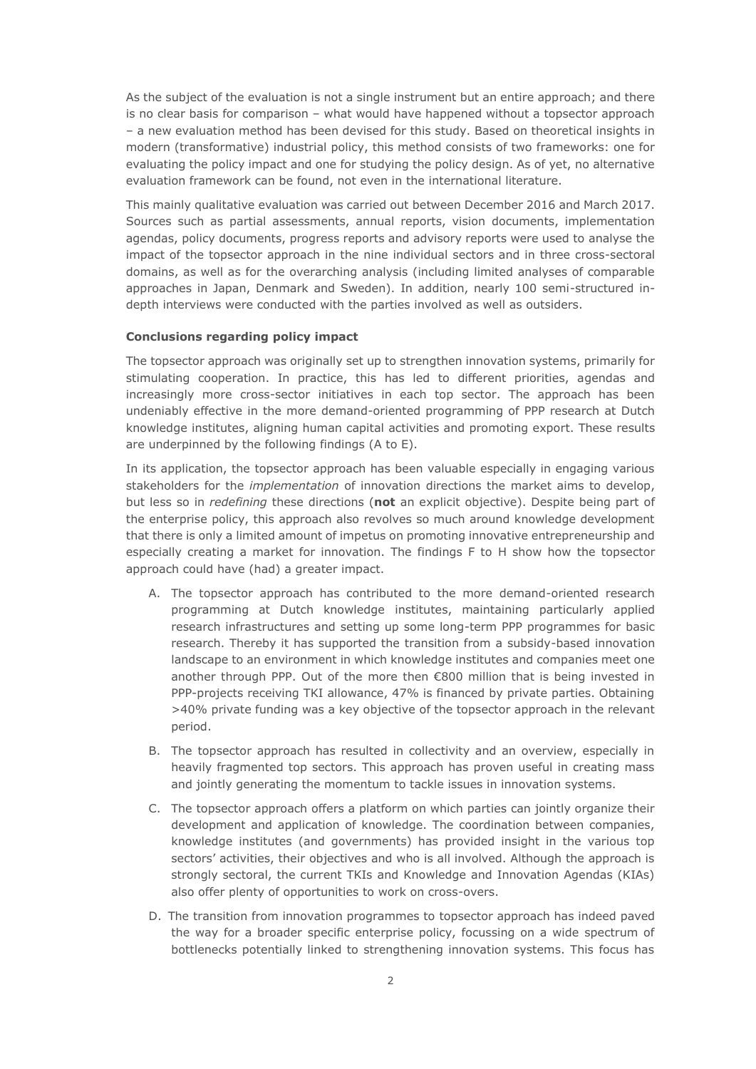As the subject of the evaluation is not a single instrument but an entire approach; and there is no clear basis for comparison – what would have happened without a topsector approach ‒ a new evaluation method has been devised for this study. Based on theoretical insights in modern (transformative) industrial policy, this method consists of two frameworks: one for evaluating the policy impact and one for studying the policy design. As of yet, no alternative evaluation framework can be found, not even in the international literature.

This mainly qualitative evaluation was carried out between December 2016 and March 2017. Sources such as partial assessments, annual reports, vision documents, implementation agendas, policy documents, progress reports and advisory reports were used to analyse the impact of the topsector approach in the nine individual sectors and in three cross-sectoral domains, as well as for the overarching analysis (including limited analyses of comparable approaches in Japan, Denmark and Sweden). In addition, nearly 100 semi-structured indepth interviews were conducted with the parties involved as well as outsiders.

### **Conclusions regarding policy impact**

The topsector approach was originally set up to strengthen innovation systems, primarily for stimulating cooperation. In practice, this has led to different priorities, agendas and increasingly more cross-sector initiatives in each top sector. The approach has been undeniably effective in the more demand-oriented programming of PPP research at Dutch knowledge institutes, aligning human capital activities and promoting export. These results are underpinned by the following findings (A to E).

In its application, the topsector approach has been valuable especially in engaging various stakeholders for the *implementation* of innovation directions the market aims to develop, but less so in *redefining* these directions (**not** an explicit objective). Despite being part of the enterprise policy, this approach also revolves so much around knowledge development that there is only a limited amount of impetus on promoting innovative entrepreneurship and especially creating a market for innovation. The findings F to H show how the topsector approach could have (had) a greater impact.

- A. The topsector approach has contributed to the more demand-oriented research programming at Dutch knowledge institutes, maintaining particularly applied research infrastructures and setting up some long-term PPP programmes for basic research. Thereby it has supported the transition from a subsidy-based innovation landscape to an environment in which knowledge institutes and companies meet one another through PPP. Out of the more then €800 million that is being invested in PPP-projects receiving TKI allowance, 47% is financed by private parties. Obtaining >40% private funding was a key objective of the topsector approach in the relevant period.
- B. The topsector approach has resulted in collectivity and an overview, especially in heavily fragmented top sectors. This approach has proven useful in creating mass and jointly generating the momentum to tackle issues in innovation systems.
- C. The topsector approach offers a platform on which parties can jointly organize their development and application of knowledge. The coordination between companies, knowledge institutes (and governments) has provided insight in the various top sectors' activities, their objectives and who is all involved. Although the approach is strongly sectoral, the current TKIs and Knowledge and Innovation Agendas (KIAs) also offer plenty of opportunities to work on cross-overs.
- D. The transition from innovation programmes to topsector approach has indeed paved the way for a broader specific enterprise policy, focussing on a wide spectrum of bottlenecks potentially linked to strengthening innovation systems. This focus has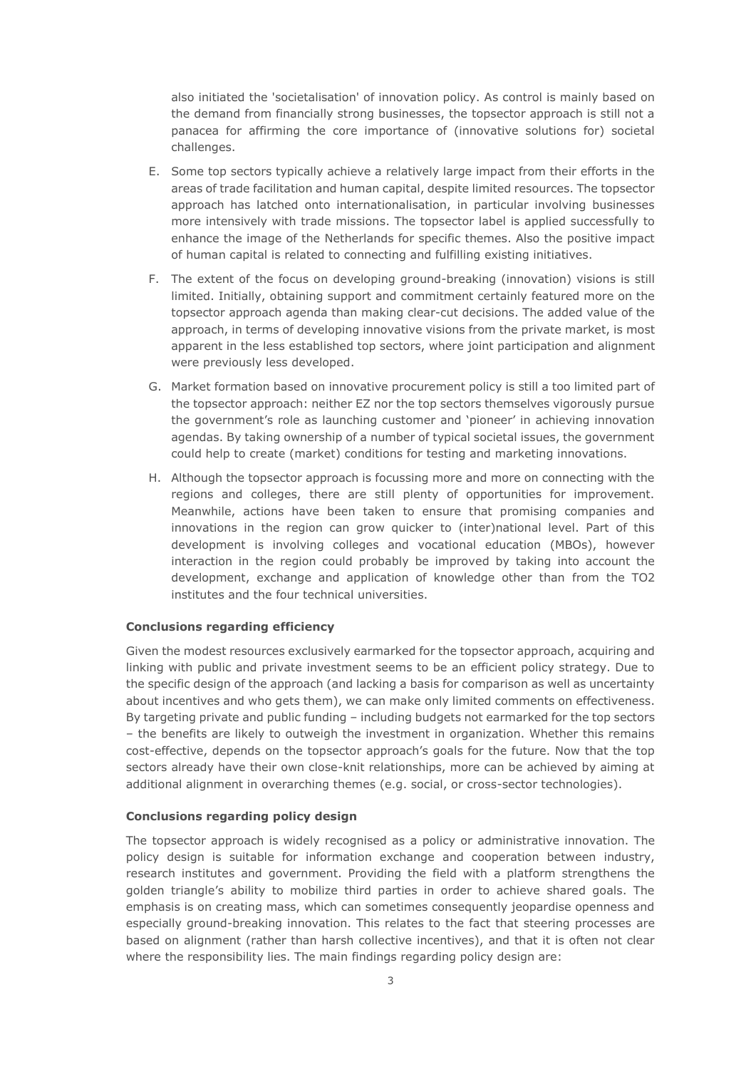also initiated the 'societalisation' of innovation policy. As control is mainly based on the demand from financially strong businesses, the topsector approach is still not a panacea for affirming the core importance of (innovative solutions for) societal challenges.

- E. Some top sectors typically achieve a relatively large impact from their efforts in the areas of trade facilitation and human capital, despite limited resources. The topsector approach has latched onto internationalisation, in particular involving businesses more intensively with trade missions. The topsector label is applied successfully to enhance the image of the Netherlands for specific themes. Also the positive impact of human capital is related to connecting and fulfilling existing initiatives.
- F. The extent of the focus on developing ground-breaking (innovation) visions is still limited. Initially, obtaining support and commitment certainly featured more on the topsector approach agenda than making clear-cut decisions. The added value of the approach, in terms of developing innovative visions from the private market, is most apparent in the less established top sectors, where joint participation and alignment were previously less developed.
- G. Market formation based on innovative procurement policy is still a too limited part of the topsector approach: neither EZ nor the top sectors themselves vigorously pursue the government's role as launching customer and 'pioneer' in achieving innovation agendas. By taking ownership of a number of typical societal issues, the government could help to create (market) conditions for testing and marketing innovations.
- H. Although the topsector approach is focussing more and more on connecting with the regions and colleges, there are still plenty of opportunities for improvement. Meanwhile, actions have been taken to ensure that promising companies and innovations in the region can grow quicker to (inter)national level. Part of this development is involving colleges and vocational education (MBOs), however interaction in the region could probably be improved by taking into account the development, exchange and application of knowledge other than from the TO2 institutes and the four technical universities.

## **Conclusions regarding efficiency**

Given the modest resources exclusively earmarked for the topsector approach, acquiring and linking with public and private investment seems to be an efficient policy strategy. Due to the specific design of the approach (and lacking a basis for comparison as well as uncertainty about incentives and who gets them), we can make only limited comments on effectiveness. By targeting private and public funding – including budgets not earmarked for the top sectors ‒ the benefits are likely to outweigh the investment in organization. Whether this remains cost-effective, depends on the topsector approach's goals for the future. Now that the top sectors already have their own close-knit relationships, more can be achieved by aiming at additional alignment in overarching themes (e.g. social, or cross-sector technologies).

# **Conclusions regarding policy design**

The topsector approach is widely recognised as a policy or administrative innovation. The policy design is suitable for information exchange and cooperation between industry, research institutes and government. Providing the field with a platform strengthens the golden triangle's ability to mobilize third parties in order to achieve shared goals. The emphasis is on creating mass, which can sometimes consequently jeopardise openness and especially ground-breaking innovation. This relates to the fact that steering processes are based on alignment (rather than harsh collective incentives), and that it is often not clear where the responsibility lies. The main findings regarding policy design are: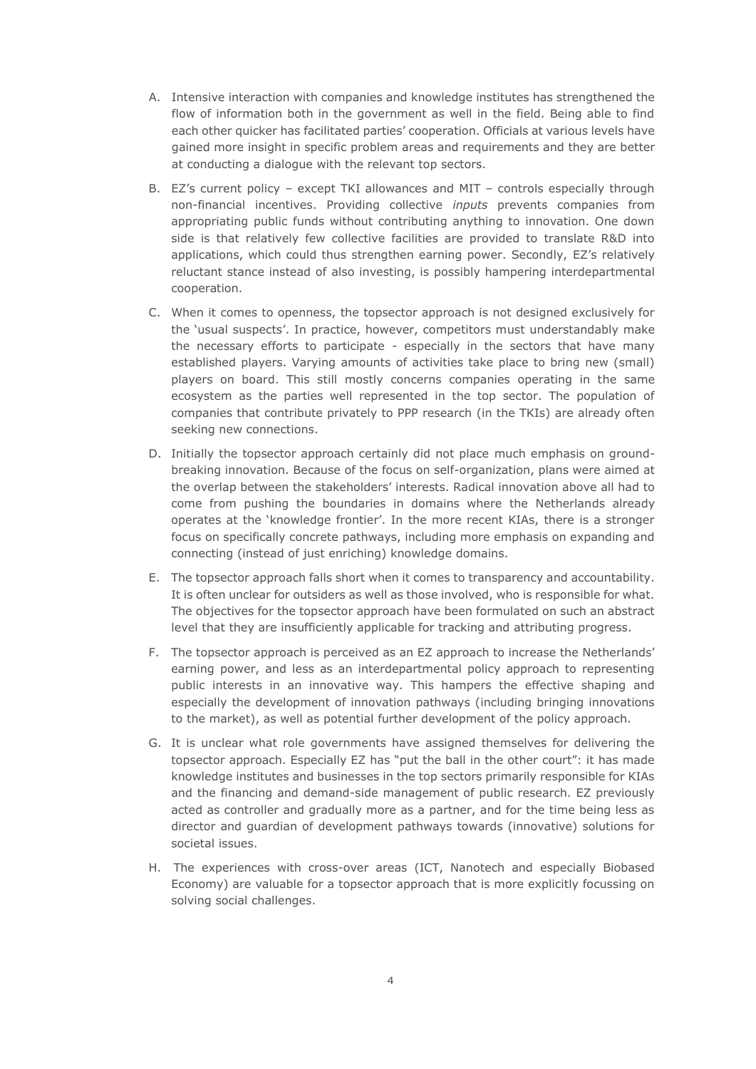- A. Intensive interaction with companies and knowledge institutes has strengthened the flow of information both in the government as well in the field. Being able to find each other quicker has facilitated parties' cooperation. Officials at various levels have gained more insight in specific problem areas and requirements and they are better at conducting a dialogue with the relevant top sectors.
- B. EZ's current policy except TKI allowances and MIT controls especially through non-financial incentives. Providing collective *inputs* prevents companies from appropriating public funds without contributing anything to innovation. One down side is that relatively few collective facilities are provided to translate R&D into applications, which could thus strengthen earning power. Secondly, EZ's relatively reluctant stance instead of also investing, is possibly hampering interdepartmental cooperation.
- C. When it comes to openness, the topsector approach is not designed exclusively for the 'usual suspects'. In practice, however, competitors must understandably make the necessary efforts to participate - especially in the sectors that have many established players. Varying amounts of activities take place to bring new (small) players on board. This still mostly concerns companies operating in the same ecosystem as the parties well represented in the top sector. The population of companies that contribute privately to PPP research (in the TKIs) are already often seeking new connections.
- D. Initially the topsector approach certainly did not place much emphasis on groundbreaking innovation. Because of the focus on self-organization, plans were aimed at the overlap between the stakeholders' interests. Radical innovation above all had to come from pushing the boundaries in domains where the Netherlands already operates at the 'knowledge frontier'. In the more recent KIAs, there is a stronger focus on specifically concrete pathways, including more emphasis on expanding and connecting (instead of just enriching) knowledge domains.
- E. The topsector approach falls short when it comes to transparency and accountability. It is often unclear for outsiders as well as those involved, who is responsible for what. The objectives for the topsector approach have been formulated on such an abstract level that they are insufficiently applicable for tracking and attributing progress.
- F. The topsector approach is perceived as an EZ approach to increase the Netherlands' earning power, and less as an interdepartmental policy approach to representing public interests in an innovative way. This hampers the effective shaping and especially the development of innovation pathways (including bringing innovations to the market), as well as potential further development of the policy approach.
- G. It is unclear what role governments have assigned themselves for delivering the topsector approach. Especially EZ has "put the ball in the other court": it has made knowledge institutes and businesses in the top sectors primarily responsible for KIAs and the financing and demand-side management of public research. EZ previously acted as controller and gradually more as a partner, and for the time being less as director and guardian of development pathways towards (innovative) solutions for societal issues.
- H. The experiences with cross-over areas (ICT, Nanotech and especially Biobased Economy) are valuable for a topsector approach that is more explicitly focussing on solving social challenges.